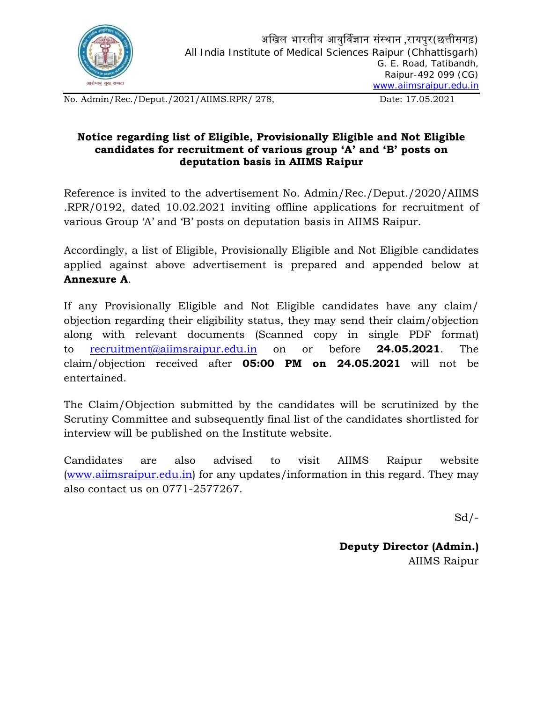

No. Admin/Rec./Deput./2021/AIIMS.RPR/ 278, Date: 17.05.2021

## **Notice regarding list of Eligible, Provisionally Eligible and Not Eligible candidates for recruitment of various group 'A' and 'B' posts on deputation basis in AIIMS Raipur**

Reference is invited to the advertisement No. Admin/Rec./Deput./2020/AIIMS .RPR/0192, dated 10.02.2021 inviting offline applications for recruitment of various Group 'A' and 'B' posts on deputation basis in AIIMS Raipur.

Accordingly, a list of Eligible, Provisionally Eligible and Not Eligible candidates applied against above advertisement is prepared and appended below at **Annexure A**.

If any Provisionally Eligible and Not Eligible candidates have any claim/ objection regarding their eligibility status, they may send their claim/objection along with relevant documents (Scanned copy in single PDF format) to [recruitment@aiimsraipur.edu.in](mailto:recruitment@aiimsraipur.edu.in) on or before **24.05.2021**. The claim/objection received after **05:00 PM on 24.05.2021** will not be entertained.

The Claim/Objection submitted by the candidates will be scrutinized by the Scrutiny Committee and subsequently final list of the candidates shortlisted for interview will be published on the Institute website.

Candidates are also advised to visit AIIMS Raipur website ([www.aiimsraipur.edu.in](http://www.aiimsraipur.edu.in/)) for any updates/information in this regard. They may also contact us on 0771-2577267.

 $Sd$  /-

**Deputy Director (Admin.)** AIIMS Raipur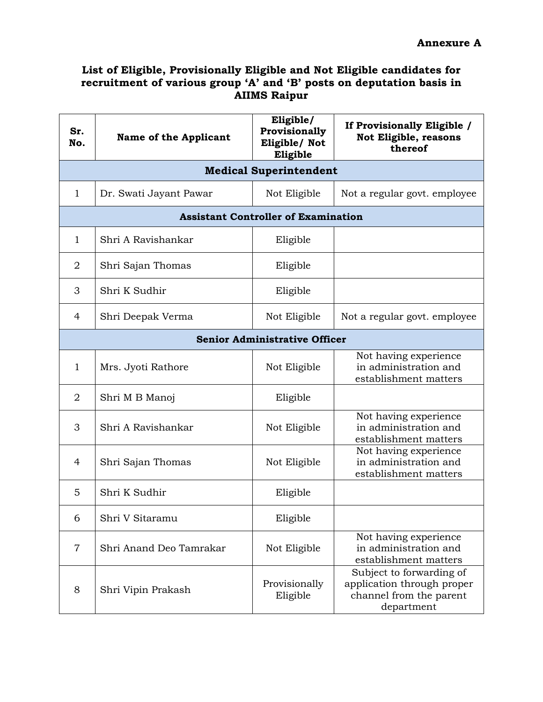## **List of Eligible, Provisionally Eligible and Not Eligible candidates for recruitment of various group 'A' and 'B' posts on deputation basis in AIIMS Raipur**

| Sr.<br>No.                           | <b>Name of the Applicant</b> | Eligible/<br>Provisionally<br>Eligible/Not<br>Eligible | If Provisionally Eligible /<br>Not Eligible, reasons<br>thereof                                 |  |  |  |
|--------------------------------------|------------------------------|--------------------------------------------------------|-------------------------------------------------------------------------------------------------|--|--|--|
| <b>Medical Superintendent</b>        |                              |                                                        |                                                                                                 |  |  |  |
| $\mathbf{1}$                         | Dr. Swati Jayant Pawar       | Not Eligible                                           | Not a regular govt. employee                                                                    |  |  |  |
|                                      |                              | <b>Assistant Controller of Examination</b>             |                                                                                                 |  |  |  |
| $\mathbf{1}$                         | Shri A Ravishankar           | Eligible                                               |                                                                                                 |  |  |  |
| $\overline{2}$                       | Shri Sajan Thomas            | Eligible                                               |                                                                                                 |  |  |  |
| 3                                    | Shri K Sudhir                | Eligible                                               |                                                                                                 |  |  |  |
| 4                                    | Shri Deepak Verma            | Not Eligible                                           | Not a regular govt. employee                                                                    |  |  |  |
| <b>Senior Administrative Officer</b> |                              |                                                        |                                                                                                 |  |  |  |
| $\mathbf{1}$                         | Mrs. Jyoti Rathore           | Not Eligible                                           | Not having experience<br>in administration and<br>establishment matters                         |  |  |  |
| $\overline{2}$                       | Shri M B Manoj               | Eligible                                               |                                                                                                 |  |  |  |
| 3                                    | Shri A Ravishankar           | Not Eligible                                           | Not having experience<br>in administration and<br>establishment matters                         |  |  |  |
| $\overline{4}$                       | Shri Sajan Thomas            | Not Eligible                                           | Not having experience<br>in administration and<br>establishment matters                         |  |  |  |
| 5                                    | Shri K Sudhir                | Eligible                                               |                                                                                                 |  |  |  |
| 6                                    | Shri V Sitaramu              | Eligible                                               |                                                                                                 |  |  |  |
| $\overline{7}$                       | Shri Anand Deo Tamrakar      | Not Eligible                                           | Not having experience<br>in administration and<br>establishment matters                         |  |  |  |
| 8                                    | Shri Vipin Prakash           | Provisionally<br>Eligible                              | Subject to forwarding of<br>application through proper<br>channel from the parent<br>department |  |  |  |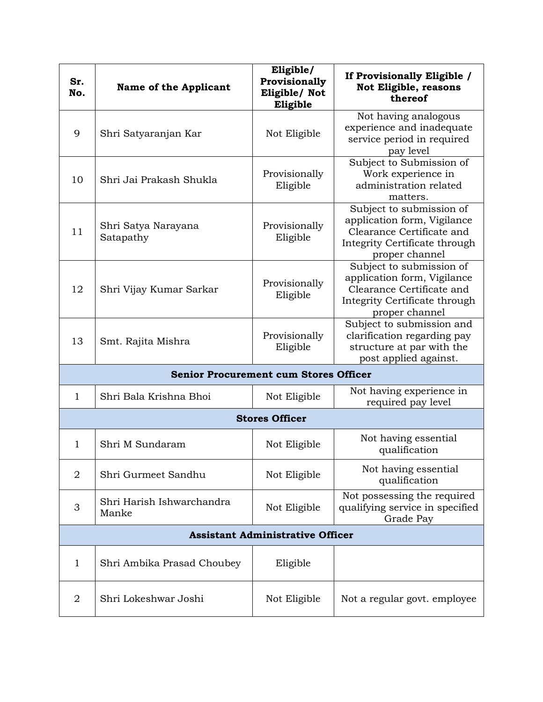| Sr.<br>No.                                   | <b>Name of the Applicant</b>       | Eligible/<br>Provisionally<br>Eligible/ Not<br>Eligible | If Provisionally Eligible /<br><b>Not Eligible, reasons</b><br>thereof                                                                  |  |  |
|----------------------------------------------|------------------------------------|---------------------------------------------------------|-----------------------------------------------------------------------------------------------------------------------------------------|--|--|
| 9                                            | Shri Satyaranjan Kar               | Not Eligible                                            | Not having analogous<br>experience and inadequate<br>service period in required<br>pay level                                            |  |  |
| 10                                           | Shri Jai Prakash Shukla            | Provisionally<br>Eligible                               | Subject to Submission of<br>Work experience in<br>administration related<br>matters.                                                    |  |  |
| 11                                           | Shri Satya Narayana<br>Satapathy   | Provisionally<br>Eligible                               | Subject to submission of<br>application form, Vigilance<br>Clearance Certificate and<br>Integrity Certificate through<br>proper channel |  |  |
| 12                                           | Shri Vijay Kumar Sarkar            | Provisionally<br>Eligible                               | Subject to submission of<br>application form, Vigilance<br>Clearance Certificate and<br>Integrity Certificate through<br>proper channel |  |  |
| 13                                           | Smt. Rajita Mishra                 | Provisionally<br>Eligible                               | Subject to submission and<br>clarification regarding pay<br>structure at par with the<br>post applied against.                          |  |  |
| <b>Senior Procurement cum Stores Officer</b> |                                    |                                                         |                                                                                                                                         |  |  |
| $\mathbf{1}$                                 | Shri Bala Krishna Bhoi             | Not Eligible                                            | Not having experience in<br>required pay level                                                                                          |  |  |
| <b>Stores Officer</b>                        |                                    |                                                         |                                                                                                                                         |  |  |
| $\mathbf 1$                                  | Shri M Sundaram                    | Not Eligible                                            | Not having essential<br>qualification                                                                                                   |  |  |
| $\overline{2}$                               | Shri Gurmeet Sandhu                | Not Eligible                                            | Not having essential<br>qualification                                                                                                   |  |  |
| 3                                            | Shri Harish Ishwarchandra<br>Manke | Not Eligible                                            | Not possessing the required<br>qualifying service in specified<br>Grade Pay                                                             |  |  |
| <b>Assistant Administrative Officer</b>      |                                    |                                                         |                                                                                                                                         |  |  |
| $\mathbf{1}$                                 | Shri Ambika Prasad Choubey         | Eligible                                                |                                                                                                                                         |  |  |
| $\overline{2}$                               | Shri Lokeshwar Joshi               | Not Eligible                                            | Not a regular govt. employee                                                                                                            |  |  |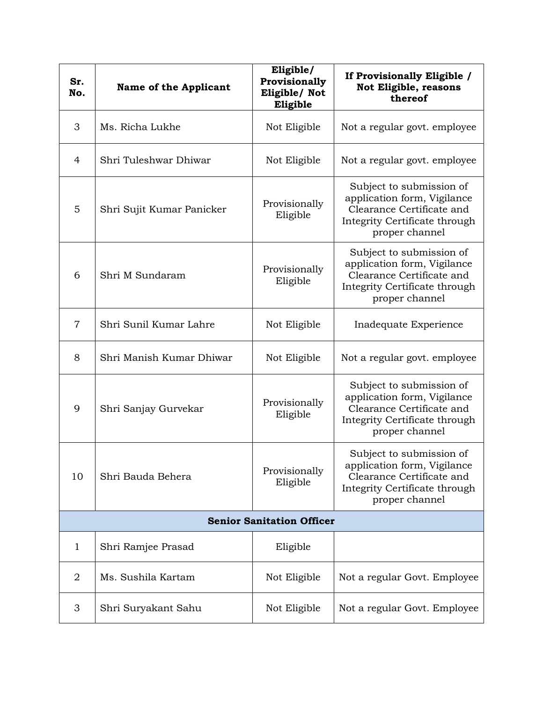| Sr.<br>No.                       | <b>Name of the Applicant</b> | Eligible/<br>Provisionally<br>Eligible/ Not<br>Eligible | If Provisionally Eligible /<br>Not Eligible, reasons<br>thereof                                                                         |  |  |
|----------------------------------|------------------------------|---------------------------------------------------------|-----------------------------------------------------------------------------------------------------------------------------------------|--|--|
| 3                                | Ms. Richa Lukhe              | Not Eligible                                            | Not a regular govt. employee                                                                                                            |  |  |
| $\overline{4}$                   | Shri Tuleshwar Dhiwar        | Not Eligible                                            | Not a regular govt. employee                                                                                                            |  |  |
| 5                                | Shri Sujit Kumar Panicker    | Provisionally<br>Eligible                               | Subject to submission of<br>application form, Vigilance<br>Clearance Certificate and<br>Integrity Certificate through<br>proper channel |  |  |
| 6                                | Shri M Sundaram              | Provisionally<br>Eligible                               | Subject to submission of<br>application form, Vigilance<br>Clearance Certificate and<br>Integrity Certificate through<br>proper channel |  |  |
| $\overline{7}$                   | Shri Sunil Kumar Lahre       | Not Eligible                                            | Inadequate Experience                                                                                                                   |  |  |
| 8                                | Shri Manish Kumar Dhiwar     | Not Eligible                                            | Not a regular govt. employee                                                                                                            |  |  |
| 9                                | Shri Sanjay Gurvekar         | Provisionally<br>Eligible                               | Subject to submission of<br>application form, Vigilance<br>Clearance Certificate and<br>Integrity Certificate through<br>proper channel |  |  |
| 10                               | Shri Bauda Behera            | Provisionally<br>Eligible                               | Subject to submission of<br>application form, Vigilance<br>Clearance Certificate and<br>Integrity Certificate through<br>proper channel |  |  |
| <b>Senior Sanitation Officer</b> |                              |                                                         |                                                                                                                                         |  |  |
| $\mathbf{1}$                     | Shri Ramjee Prasad           | Eligible                                                |                                                                                                                                         |  |  |
| 2                                | Ms. Sushila Kartam           | Not Eligible                                            | Not a regular Govt. Employee                                                                                                            |  |  |
| 3                                | Shri Suryakant Sahu          | Not Eligible                                            | Not a regular Govt. Employee                                                                                                            |  |  |